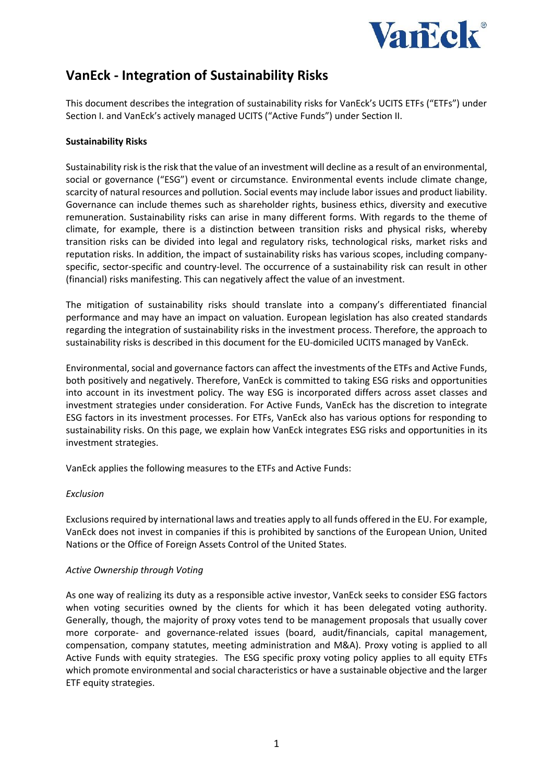

# **VanEck - Integration of Sustainability Risks**

This document describes the integration of sustainability risks for VanEck's UCITS ETFs ("ETFs") under Section I. and VanEck's actively managed UCITS ("Active Funds") under Section II.

## **Sustainability Risks**

Sustainability risk is the risk that the value of an investment will decline as a result of an environmental, social or governance ("ESG") event or circumstance. Environmental events include climate change, scarcity of natural resources and pollution. Social events may include labor issues and product liability. Governance can include themes such as shareholder rights, business ethics, diversity and executive remuneration. Sustainability risks can arise in many different forms. With regards to the theme of climate, for example, there is a distinction between transition risks and physical risks, whereby transition risks can be divided into legal and regulatory risks, technological risks, market risks and reputation risks. In addition, the impact of sustainability risks has various scopes, including companyspecific, sector-specific and country-level. The occurrence of a sustainability risk can result in other (financial) risks manifesting. This can negatively affect the value of an investment.

The mitigation of sustainability risks should translate into a company's differentiated financial performance and may have an impact on valuation. European legislation has also created standards regarding the integration of sustainability risks in the investment process. Therefore, the approach to sustainability risks is described in this document for the EU-domiciled UCITS managed by VanEck.

Environmental, social and governance factors can affect the investments of the ETFs and Active Funds, both positively and negatively. Therefore, VanEck is committed to taking ESG risks and opportunities into account in its investment policy. The way ESG is incorporated differs across asset classes and investment strategies under consideration. For Active Funds, VanEck has the discretion to integrate ESG factors in its investment processes. For ETFs, VanEck also has various options for responding to sustainability risks. On this page, we explain how VanEck integrates ESG risks and opportunities in its investment strategies.

VanEck applies the following measures to the ETFs and Active Funds:

#### *Exclusion*

Exclusions required by international laws and treaties apply to all funds offered in the EU. For example, VanEck does not invest in companies if this is prohibited by sanctions of the European Union, United Nations or the Office of Foreign Assets Control of the United States.

#### *Active Ownership through Voting*

As one way of realizing its duty as a responsible active investor, VanEck seeks to consider ESG factors when voting securities owned by the clients for which it has been delegated voting authority. Generally, though, the majority of proxy votes tend to be management proposals that usually cover more corporate- and governance-related issues (board, audit/financials, capital management, compensation, company statutes, meeting administration and M&A). Proxy voting is applied to all Active Funds with equity strategies. The ESG specific proxy voting policy applies to all equity ETFs which promote environmental and social characteristics or have a sustainable objective and the larger ETF equity strategies.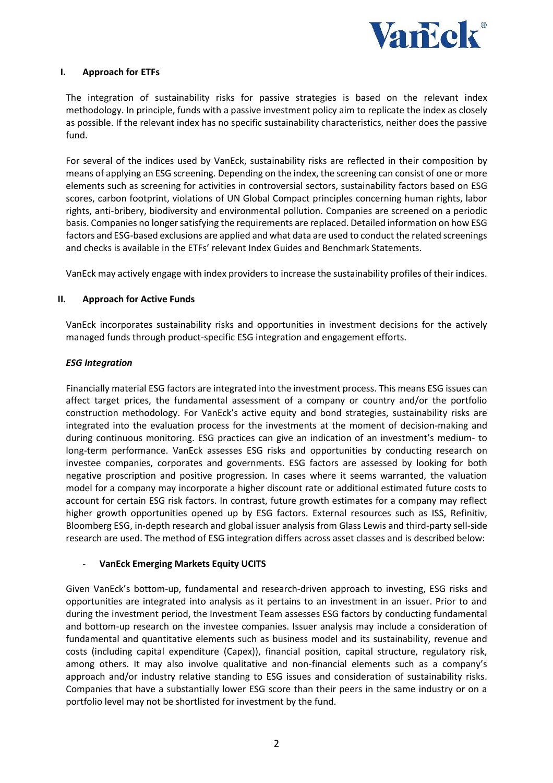

## **I. Approach for ETFs**

The integration of sustainability risks for passive strategies is based on the relevant index methodology. In principle, funds with a passive investment policy aim to replicate the index as closely as possible. If the relevant index has no specific sustainability characteristics, neither does the passive fund.

For several of the indices used by VanEck, sustainability risks are reflected in their composition by means of applying an ESG screening. Depending on the index, the screening can consist of one or more elements such as screening for activities in controversial sectors, sustainability factors based on ESG scores, carbon footprint, violations of UN Global Compact principles concerning human rights, labor rights, anti-bribery, biodiversity and environmental pollution. Companies are screened on a periodic basis. Companies no longer satisfying the requirements are replaced. Detailed information on how ESG factors and ESG-based exclusions are applied and what data are used to conduct the related screenings and checks is available in the ETFs' relevant Index Guides and Benchmark Statements.

VanEck may actively engage with index providers to increase the sustainability profiles of their indices.

## **II. Approach for Active Funds**

VanEck incorporates sustainability risks and opportunities in investment decisions for the actively managed funds through product-specific ESG integration and engagement efforts.

#### *ESG Integration*

Financially material ESG factors are integrated into the investment process. This means ESG issues can affect target prices, the fundamental assessment of a company or country and/or the portfolio construction methodology. For VanEck's active equity and bond strategies, sustainability risks are integrated into the evaluation process for the investments at the moment of decision-making and during continuous monitoring. ESG practices can give an indication of an investment's medium- to long-term performance. VanEck assesses ESG risks and opportunities by conducting research on investee companies, corporates and governments. ESG factors are assessed by looking for both negative proscription and positive progression. In cases where it seems warranted, the valuation model for a company may incorporate a higher discount rate or additional estimated future costs to account for certain ESG risk factors. In contrast, future growth estimates for a company may reflect higher growth opportunities opened up by ESG factors. External resources such as ISS, Refinitiv, Bloomberg ESG, in-depth research and global issuer analysis from Glass Lewis and third-party sell-side research are used. The method of ESG integration differs across asset classes and is described below:

#### - **VanEck Emerging Markets Equity UCITS**

Given VanEck's bottom-up, fundamental and research-driven approach to investing, ESG risks and opportunities are integrated into analysis as it pertains to an investment in an issuer. Prior to and during the investment period, the Investment Team assesses ESG factors by conducting fundamental and bottom-up research on the investee companies. Issuer analysis may include a consideration of fundamental and quantitative elements such as business model and its sustainability, revenue and costs (including capital expenditure (Capex)), financial position, capital structure, regulatory risk, among others. It may also involve qualitative and non-financial elements such as a company's approach and/or industry relative standing to ESG issues and consideration of sustainability risks. Companies that have a substantially lower ESG score than their peers in the same industry or on a portfolio level may not be shortlisted for investment by the fund.